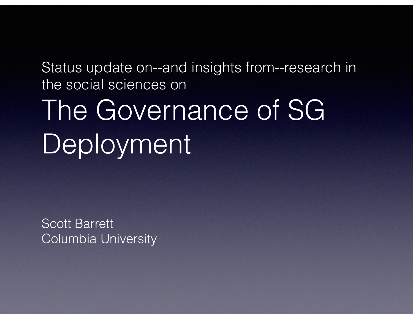Status update on--and insights from--research in the social sciences on

#### The Governance of SG Deployment

Scott Barrett Columbia University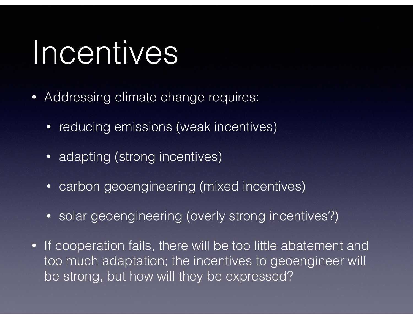#### Incentives

- Addressing climate change requires:
	- reducing emissions (weak incentives)
	- adapting (strong incentives)
	- carbon geoengineering (mixed incentives)
	- solar geoengineering (overly strong incentives?)
- If cooperation fails, there will be too little abatement and too much adaptation; the incentives to geoengineer will be strong, but how will they be expressed?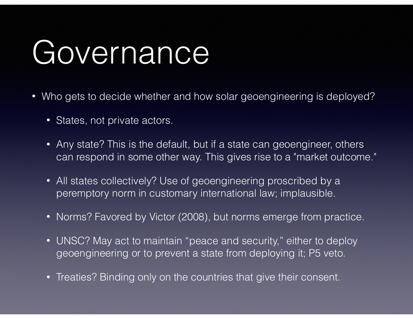#### Governance

- Who gets to decide whether and how solar geoengineering is deployed?
	- States, not private actors.
	- Any state? This is the default, but if a state can geoengineer, others can respond in some other way. This gives rise to a "market outcome."
	- All states collectively? Use of geoengineering proscribed by a peremptory norm in customary international law; implausible.
	- Norms? Favored by Victor (2008), but norms emerge from practice.
	- UNSC? May act to maintain "peace and security," either to deploy geoengineering or to prevent a state from deploying it; P5 veto.
	- Treaties? Binding only on the countries that give their consent.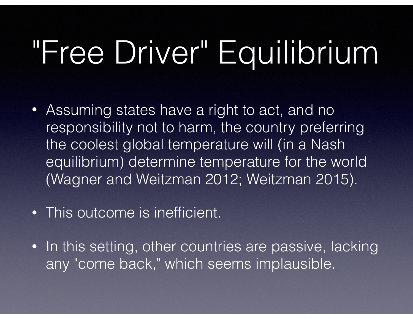# "Free Driver" Equilibrium

- Assuming states have a right to act, and no responsibility not to harm, the country preferring the coolest global temperature will (in a Nash equilibrium) determine temperature for the world (Wagner and Weitzman 2012; Weitzman 2015).
- This outcome is inefficient.
- In this setting, other countries are passive, lacking any "come back," which seems implausible.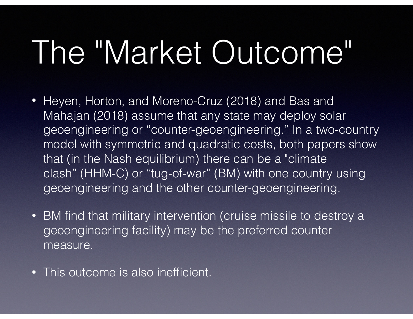# The "Market Outcome"

- Heyen, Horton, and Moreno-Cruz (2018) and Bas and Mahajan (2018) assume that any state may deploy solar geoengineering or "counter-geoengineering." In a two-country model with symmetric and quadratic costs, both papers show that (in the Nash equilibrium) there can be a "climate clash" (HHM-C) or "tug-of-war" (BM) with one country using geoengineering and the other counter-geoengineering.
- BM find that military intervention (cruise missile to destroy a geoengineering facility) may be the preferred counter measure.
- This outcome is also inefficient.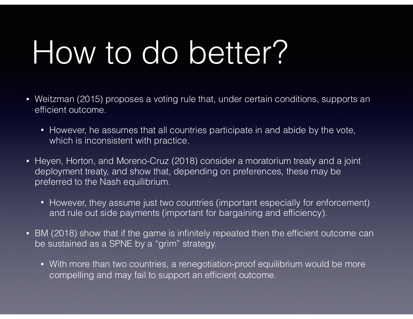### How to do better?

- Weitzman (2015) proposes a voting rule that, under certain conditions, supports an efficient outcome.
	- However, he assumes that all countries participate in and abide by the vote, which is inconsistent with practice.
- Heyen, Horton, and Moreno-Cruz (2018) consider a moratorium treaty and a joint deployment treaty, and show that, depending on preferences, these may be preferred to the Nash equilibrium.
	- However, they assume just two countries (important especially for enforcement) and rule out side payments (important for bargaining and efficiency).
- BM (2018) show that if the game is infinitely repeated then the efficient outcome can be sustained as a SPNE by a "grim" strategy.
	- With more than two countries, a renegotiation-proof equilibrium would be more compelling and may fail to support an efficient outcome.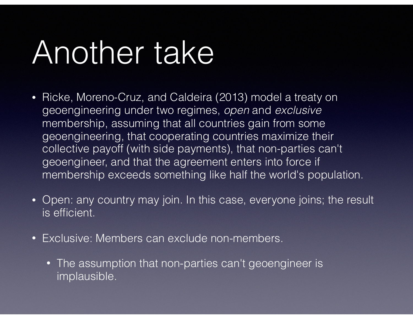### Another take

- Ricke, Moreno-Cruz, and Caldeira (2013) model a treaty on geoengineering under two regimes, *open* and *exclusive* membership, assuming that all countries gain from some geoengineering, that cooperating countries maximize their collective payoff (with side payments), that non-parties can't geoengineer, and that the agreement enters into force if membership exceeds something like half the world's population.
- Open: any country may join. In this case, everyone joins; the result is efficient.
- Exclusive: Members can exclude non-members.
	- The assumption that non-parties can't geoengineer is implausible.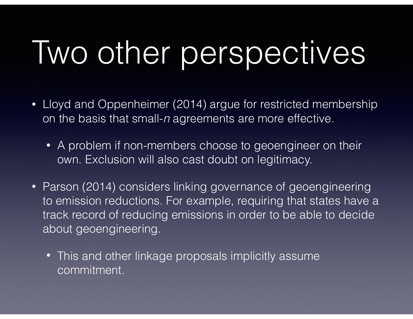# Two other perspectives

- Lloyd and Oppenheimer (2014) argue for restricted membership on the basis that small-*n* agreements are more effective.
	- A problem if non-members choose to geoengineer on their own. Exclusion will also cast doubt on legitimacy.
- Parson (2014) considers linking governance of geoengineering to emission reductions. For example, requiring that states have a track record of reducing emissions in order to be able to decide about geoengineering.
	- This and other linkage proposals implicitly assume commitment.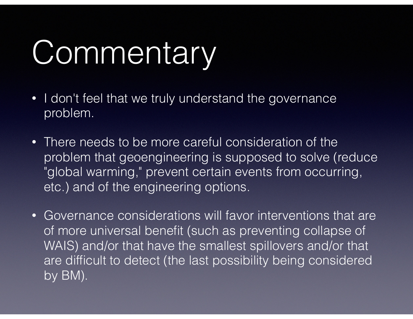# Commentary

- I don't feel that we truly understand the governance problem.
- There needs to be more careful consideration of the problem that geoengineering is supposed to solve (reduce "global warming," prevent certain events from occurring, etc.) and of the engineering options.
- Governance considerations will favor interventions that are of more universal benefit (such as preventing collapse of WAIS) and/or that have the smallest spillovers and/or that are difficult to detect (the last possibility being considered by BM).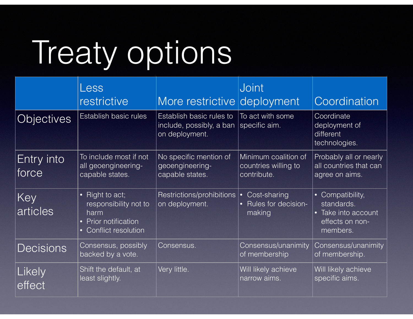# Treaty options

|                     | Less<br>restrictive                                                                                                     | More restrictive deployment                                            | <b>Joint</b>                                                | Coordination                                                                                               |
|---------------------|-------------------------------------------------------------------------------------------------------------------------|------------------------------------------------------------------------|-------------------------------------------------------------|------------------------------------------------------------------------------------------------------------|
| <b>Objectives</b>   | Establish basic rules                                                                                                   | Establish basic rules to<br>include, possibly, a ban<br>on deployment. | To act with some<br>specific aim.                           | Coordinate<br>deployment of<br>different<br>technologies.                                                  |
| Entry into<br>force | To include most if not<br>all geoengineering-<br>capable states.                                                        | No specific mention of<br>geoengineering-<br>capable states.           | Minimum coalition of<br>countries willing to<br>contribute. | Probably all or nearly<br>all countries that can<br>agree on aims.                                         |
| Key<br>articles     | Right to act;<br>$\bullet$<br>responsibility not to<br>harm<br>• Prior notification<br>Conflict resolution<br>$\bullet$ | Restrictions/prohibitions  •<br>on deployment.                         | Cost-sharing<br>Rules for decision-<br>making               | Compatibility,<br>$\bullet$<br>standards.<br>Take into account<br>$\bullet$<br>effects on non-<br>members. |
| <b>Decisions</b>    | Consensus, possibly<br>backed by a vote.                                                                                | Consensus.                                                             | Consensus/unanimity<br>of membership                        | Consensus/unanimity<br>of membership.                                                                      |
| Likely<br>effect    | Shift the default, at<br>least slightly.                                                                                | Very little.                                                           | Will likely achieve<br>narrow aims.                         | Will likely achieve<br>specific aims.                                                                      |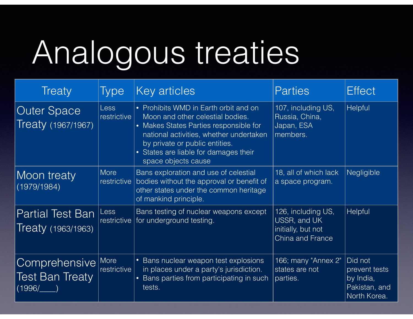## Analogous treaties

| <b>Treaty</b>                                     | <b>Type</b>                | Key articles                                                                                                                                                                                                                                                     | <b>Parties</b>                                                               | <b>Effect</b>                                                          |
|---------------------------------------------------|----------------------------|------------------------------------------------------------------------------------------------------------------------------------------------------------------------------------------------------------------------------------------------------------------|------------------------------------------------------------------------------|------------------------------------------------------------------------|
| <b>Outer Space</b><br>Treaty (1967/1967)          | <b>Less</b><br>restrictive | • Prohibits WMD in Earth orbit and on<br>Moon and other celestial bodies.<br>• Makes States Parties responsible for<br>national activities, whether undertaken<br>by private or public entities.<br>• States are liable for damages their<br>space objects cause | 107, including US,<br>Russia, China,<br>Japan, ESA<br>members.               | Helpful                                                                |
| Moon treaty<br>(1979/1984)                        | <b>More</b><br>restrictive | Bans exploration and use of celestial<br>bodies without the approval or benefit of<br>other states under the common heritage<br>of mankind principle.                                                                                                            | 18, all of which lack<br>a space program.                                    | <b>Negligible</b>                                                      |
| <b>Partial Test Ban</b><br>Treaty (1963/1963)     | <b>Less</b><br>restrictive | Bans testing of nuclear weapons except<br>for underground testing.                                                                                                                                                                                               | 126, including US,<br>USSR, and UK<br>initially, but not<br>China and France | Helpful                                                                |
| Comprehensive<br><b>Test Ban Treaty</b><br>(1996/ | More<br>restrictive        | • Bans nuclear weapon test explosions<br>in places under a party's jurisdiction.<br>• Bans parties from participating in such<br>tests.                                                                                                                          | 166; many "Annex 2"<br>states are not<br>parties.                            | Did not<br>prevent tests<br>by India,<br>Pakistan, and<br>North Korea. |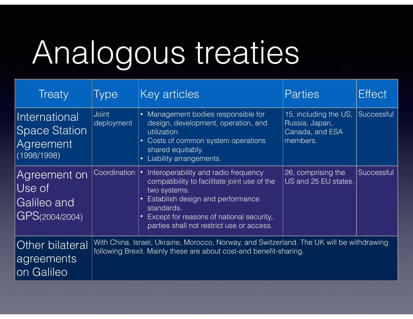## Analogous treaties

| <b>Treaty</b>                                                               | <b>Type</b>                                                                                                                                                     | Key articles                                                                                                                                                                                                                                     | <b>Parties</b>                                                         | <b>Effect</b> |  |
|-----------------------------------------------------------------------------|-----------------------------------------------------------------------------------------------------------------------------------------------------------------|--------------------------------------------------------------------------------------------------------------------------------------------------------------------------------------------------------------------------------------------------|------------------------------------------------------------------------|---------------|--|
| International<br><b>Space Station</b><br>Agreement<br>(1998/1998)           | <b>Joint</b><br>deployment                                                                                                                                      | • Management bodies responsible for<br>design, development, operation, and<br>utilization.<br>• Costs of common system operations<br>shared equitably.<br>Liability arrangements.<br>$\bullet$                                                   | 15, including the US,<br>Russia, Japan,<br>Canada, and ESA<br>members. | Successful    |  |
| Agreement on<br>$\overline{\text{Use}}$ of<br>Galileo and<br>GPS(2004/2004) | Coordination                                                                                                                                                    | Interoperability and radio frequency<br>compatibility to facilitate joint use of the<br>two systems.<br>Establish design and performance<br>standards.<br>Except for reasons of national security,,<br>parties shall not restrict use or access. | 26, comprising the<br>US and 25 EU states.                             | Successful    |  |
| Other bilateral<br>agreements<br>Galileo                                    | With China, Israel, Ukraine, Morocco, Norway, and Switzerland. The UK will be withdrawing<br>following Brexit. Mainly these are about cost-and benefit-sharing. |                                                                                                                                                                                                                                                  |                                                                        |               |  |